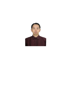